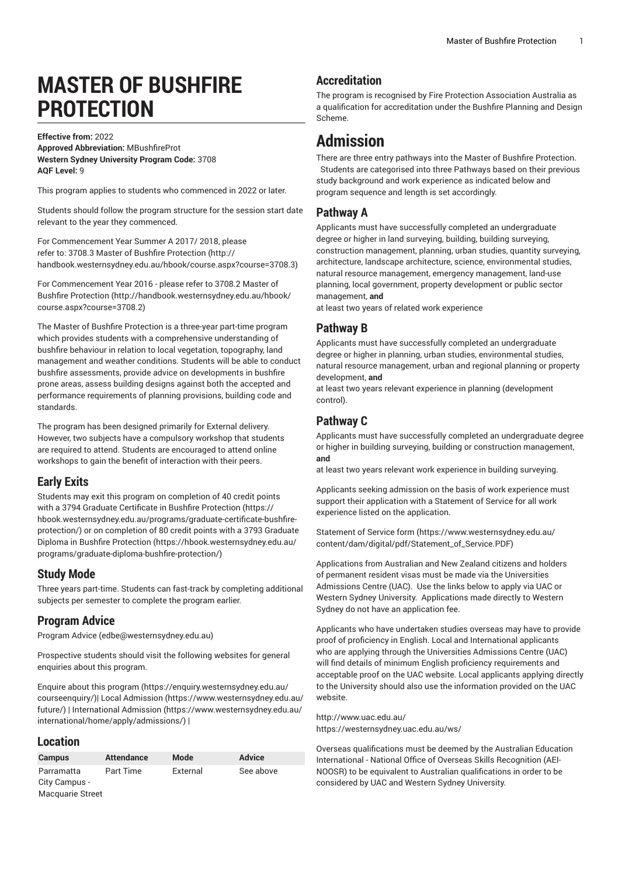# **MASTER OF BUSHFIRE PROTECTION**

**Effective from:** 2022 **Approved Abbreviation:** MBushfireProt **Western Sydney University Program Code:** 3708 **AQF Level:** 9

This program applies to students who commenced in 2022 or later.

Students should follow the program structure for the session start date relevant to the year they commenced.

For [Commencement](http://handbook.westernsydney.edu.au/hbook/course.aspx?course=3708.3) Year Summer A 2017/ 2018, please refer to: 3708.3 Master of Bushfire [Protection](http://handbook.westernsydney.edu.au/hbook/course.aspx?course=3708.3) ([http://](http://handbook.westernsydney.edu.au/hbook/course.aspx?course=3708.3) [handbook.westernsydney.edu.au/hbook/course.aspx?course=3708.3\)](http://handbook.westernsydney.edu.au/hbook/course.aspx?course=3708.3)

For [Commencement](http://handbook.westernsydney.edu.au/hbook/course.aspx?course=3708.2) Year 2016 - please refer to 3708.2 Master of Bushfire [Protection](http://handbook.westernsydney.edu.au/hbook/course.aspx?course=3708.2) ([http://handbook.westernsydney.edu.au/hbook/](http://handbook.westernsydney.edu.au/hbook/course.aspx?course=3708.2) [course.aspx?course=3708.2](http://handbook.westernsydney.edu.au/hbook/course.aspx?course=3708.2))

The Master of Bushfire Protection is a three-year part-time program which provides students with a comprehensive understanding of bushfire behaviour in relation to local vegetation, topography, land management and weather conditions. Students will be able to conduct bushfire assessments, provide advice on developments in bushfire prone areas, assess building designs against both the accepted and performance requirements of planning provisions, building code and standards.

The program has been designed primarily for External delivery. However, two subjects have a compulsory workshop that students are required to attend. Students are encouraged to attend online workshops to gain the benefit of interaction with their peers.

#### **Early Exits**

Students may exit this program on completion of 40 credit points with a 3794 Graduate Certificate in Bushfire [Protection](https://hbook.westernsydney.edu.au/programs/graduate-certificate-bushfire-protection/) ([https://](https://hbook.westernsydney.edu.au/programs/graduate-certificate-bushfire-protection/) [hbook.westernsydney.edu.au/programs/graduate-certificate-bushfire](https://hbook.westernsydney.edu.au/programs/graduate-certificate-bushfire-protection/)[protection/](https://hbook.westernsydney.edu.au/programs/graduate-certificate-bushfire-protection/)) or on completion of 80 credit points with a [3793 Graduate](https://hbook.westernsydney.edu.au/programs/graduate-diploma-bushfire-protection/) Diploma in Bushfire [Protection](https://hbook.westernsydney.edu.au/programs/graduate-diploma-bushfire-protection/) [\(https://hbook.westernsydney.edu.au/](https://hbook.westernsydney.edu.au/programs/graduate-diploma-bushfire-protection/) [programs/graduate-diploma-bushfire-protection/\)](https://hbook.westernsydney.edu.au/programs/graduate-diploma-bushfire-protection/)

#### **Study Mode**

Three years part-time. Students can fast-track by completing additional subjects per semester to complete the program earlier.

#### **Program Advice**

[Program](mailto:edbe@westernsydney.edu.au) Advice ([edbe@westernsydney.edu.au\)](edbe@westernsydney.edu.au)

Prospective students should visit the following websites for general enquiries about this program.

Enquire about this [program \(https://enquiry.westernsydney.edu.au/](https://enquiry.westernsydney.edu.au/courseenquiry/) [courseenquiry/](https://enquiry.westernsydney.edu.au/courseenquiry/))| [Local Admission \(https://www.westernsydney.edu.au/](https://www.westernsydney.edu.au/future/) [future/\)](https://www.westernsydney.edu.au/future/) | [International Admission](https://www.westernsydney.edu.au/international/home/apply/admissions/) ([https://www.westernsydney.edu.au/](https://www.westernsydney.edu.au/international/home/apply/admissions/) [international/home/apply/admissions/](https://www.westernsydney.edu.au/international/home/apply/admissions/)) |

#### **Location**

| <b>Campus</b>           | <b>Attendance</b> | Mode     | <b>Advice</b> |
|-------------------------|-------------------|----------|---------------|
| Parramatta              | Part Time         | External | See above     |
| City Campus -           |                   |          |               |
| <b>Macquarie Street</b> |                   |          |               |

## **Accreditation**

The program is recognised by Fire Protection Association Australia as a qualification for accreditation under the Bushfire Planning and Design Scheme.

## **Admission**

There are three entry pathways into the Master of Bushfire Protection. Students are categorised into three Pathways based on their previous study background and work experience as indicated below and program sequence and length is set accordingly.

#### **Pathway A**

Applicants must have successfully completed an undergraduate degree or higher in land surveying, building, building surveying, construction management, planning, urban studies, quantity surveying, architecture, landscape architecture, science, environmental studies, natural resource management, emergency management, land-use planning, local government, property development or public sector management, **and**

at least two years of related work experience

#### **Pathway B**

Applicants must have successfully completed an undergraduate degree or higher in planning, urban studies, environmental studies, natural resource management, urban and regional planning or property development, **and**

at least two years relevant experience in planning (development control).

#### **Pathway C**

Applicants must have successfully completed an undergraduate degree or higher in building surveying, building or construction management, **and**

at least two years relevant work experience in building surveying.

Applicants seeking admission on the basis of work experience must support their application with a Statement of Service for all work experience listed on the application.

[Statement](https://www.westernsydney.edu.au/content/dam/digital/pdf/Statement_of_Service.PDF) of Service form [\(https://www.westernsydney.edu.au/](https://www.westernsydney.edu.au/content/dam/digital/pdf/Statement_of_Service.PDF) [content/dam/digital/pdf/Statement\\_of\\_Service.PDF](https://www.westernsydney.edu.au/content/dam/digital/pdf/Statement_of_Service.PDF))

Applications from Australian and New Zealand citizens and holders of permanent resident visas must be made via the Universities Admissions Centre (UAC). Use the links below to apply via UAC or Western Sydney University. Applications made directly to Western Sydney do not have an application fee.

Applicants who have undertaken studies overseas may have to provide proof of proficiency in English. Local and International applicants who are applying through the Universities Admissions Centre (UAC) will find details of minimum English proficiency requirements and acceptable proof on the UAC website. Local applicants applying directly to the University should also use the information provided on the UAC website.

#### <http://www.uac.edu.au/> <https://westernsydney.uac.edu.au/ws/>

Overseas qualifications must be deemed by the Australian Education International - National Office of Overseas Skills Recognition (AEI-NOOSR) to be equivalent to Australian qualifications in order to be considered by UAC and Western Sydney University.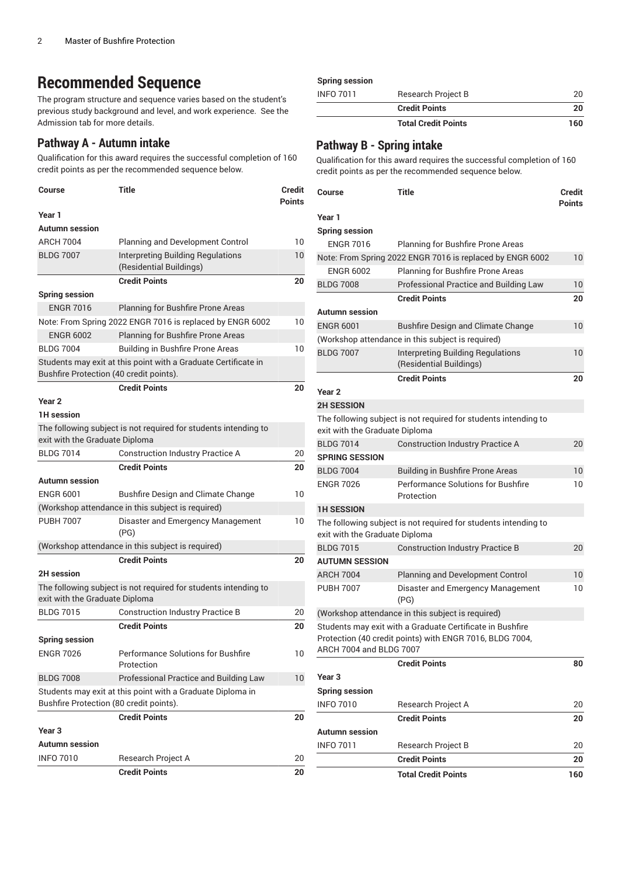# **Recommended Sequence**

The program structure and sequence varies based on the student's previous study background and level, and work experience. See the Admission tab for more details.

#### **Pathway A - Autumn intake**

Qualification for this award requires the successful completion of 160 credit points as per the recommended sequence below.

| <b>Course</b>                           | <b>Title</b>                                                        | Credit<br><b>Points</b> |
|-----------------------------------------|---------------------------------------------------------------------|-------------------------|
| Year 1                                  |                                                                     |                         |
| <b>Autumn</b> session                   |                                                                     |                         |
| <b>ARCH 7004</b>                        | Planning and Development Control                                    | 10                      |
| <b>BLDG 7007</b>                        | <b>Interpreting Building Regulations</b><br>(Residential Buildings) | 10                      |
|                                         | <b>Credit Points</b>                                                | 20                      |
| <b>Spring session</b>                   |                                                                     |                         |
| <b>ENGR 7016</b>                        | Planning for Bushfire Prone Areas                                   |                         |
|                                         | Note: From Spring 2022 ENGR 7016 is replaced by ENGR 6002           | 10                      |
| <b>ENGR 6002</b>                        | Planning for Bushfire Prone Areas                                   |                         |
| <b>BLDG 7004</b>                        | <b>Building in Bushfire Prone Areas</b>                             | 10                      |
| Bushfire Protection (40 credit points). | Students may exit at this point with a Graduate Certificate in      |                         |
|                                         | <b>Credit Points</b>                                                | 20                      |
| Year 2                                  |                                                                     |                         |
| <b>1H</b> session                       |                                                                     |                         |
|                                         | The following subject is not required for students intending to     |                         |
| exit with the Graduate Diploma          |                                                                     |                         |
| <b>BLDG 7014</b>                        | <b>Construction Industry Practice A</b>                             | 20                      |
|                                         | <b>Credit Points</b>                                                | 20                      |
| <b>Autumn</b> session                   |                                                                     |                         |
| <b>ENGR 6001</b>                        | Bushfire Design and Climate Change                                  | 10                      |
|                                         | (Workshop attendance in this subject is required)                   |                         |
| <b>PUBH 7007</b>                        | Disaster and Emergency Management<br>(PG)                           | 10                      |
|                                         | (Workshop attendance in this subject is required)                   |                         |
|                                         | <b>Credit Points</b>                                                | 20                      |
| <b>2H</b> session                       |                                                                     |                         |
| exit with the Graduate Diploma          | The following subject is not required for students intending to     |                         |
| <b>BLDG 7015</b>                        | <b>Construction Industry Practice B</b>                             | 20                      |
|                                         | <b>Credit Points</b>                                                | 20                      |
| <b>Spring session</b>                   |                                                                     |                         |
| <b>ENGR 7026</b>                        | Performance Solutions for Bushfire<br>Protection                    | 10                      |
| <b>BLDG 7008</b>                        | Professional Practice and Building Law                              | 10                      |
| Bushfire Protection (80 credit points). | Students may exit at this point with a Graduate Diploma in          |                         |
|                                         | <b>Credit Points</b>                                                | 20                      |
| Year <sub>3</sub>                       |                                                                     |                         |
| <b>Autumn</b> session                   |                                                                     |                         |
| <b>INFO 7010</b>                        | Research Project A                                                  | 20                      |
|                                         | <b>Credit Points</b>                                                | 20                      |

#### **Spring session**

| <b>INFO 7011</b> | Research Project B         | 20  |
|------------------|----------------------------|-----|
|                  | <b>Credit Points</b>       | 20  |
|                  | <b>Total Credit Points</b> | 160 |

#### **Pathway B - Spring intake**

Qualification for this award requires the successful completion of 160 credit points as per the recommended sequence below.

| Course                         | Title                                                               | Credit<br><b>Points</b> |
|--------------------------------|---------------------------------------------------------------------|-------------------------|
| Year 1                         |                                                                     |                         |
| <b>Spring session</b>          |                                                                     |                         |
| <b>ENGR 7016</b>               | Planning for Bushfire Prone Areas                                   |                         |
|                                | Note: From Spring 2022 ENGR 7016 is replaced by ENGR 6002           | 10                      |
| <b>ENGR 6002</b>               | Planning for Bushfire Prone Areas                                   |                         |
| <b>BLDG 7008</b>               | Professional Practice and Building Law                              | 10                      |
|                                | <b>Credit Points</b>                                                | 20                      |
| <b>Autumn</b> session          |                                                                     |                         |
| <b>ENGR 6001</b>               | <b>Bushfire Design and Climate Change</b>                           | 10                      |
|                                | (Workshop attendance in this subject is required)                   |                         |
| <b>BLDG 7007</b>               | <b>Interpreting Building Regulations</b><br>(Residential Buildings) | 10                      |
|                                | <b>Credit Points</b>                                                | 20                      |
| Year <sub>2</sub>              |                                                                     |                         |
| <b>2H SESSION</b>              |                                                                     |                         |
|                                | The following subject is not required for students intending to     |                         |
| exit with the Graduate Diploma |                                                                     |                         |
| <b>BLDG 7014</b>               | <b>Construction Industry Practice A</b>                             | 20                      |
| <b>SPRING SESSION</b>          |                                                                     |                         |
| <b>BLDG 7004</b>               | Building in Bushfire Prone Areas                                    | 10                      |
| <b>ENGR 7026</b>               | Performance Solutions for Bushfire<br>Protection                    | 10                      |
| <b>1H SESSION</b>              |                                                                     |                         |
| exit with the Graduate Diploma | The following subject is not required for students intending to     |                         |
| <b>BLDG 7015</b>               | <b>Construction Industry Practice B</b>                             | 20                      |
| <b>AUTUMN SESSION</b>          |                                                                     |                         |
| <b>ARCH 7004</b>               | Planning and Development Control                                    | 10                      |
| <b>PUBH 7007</b>               | Disaster and Emergency Management<br>(PG)                           | 10                      |
|                                | (Workshop attendance in this subject is required)                   |                         |
|                                | Students may exit with a Graduate Certificate in Bushfire           |                         |
| ARCH 7004 and BLDG 7007        | Protection (40 credit points) with ENGR 7016, BLDG 7004,            |                         |
|                                | <b>Credit Points</b>                                                | 80                      |
| Year <sub>3</sub>              |                                                                     |                         |
| <b>Spring session</b>          |                                                                     |                         |
| <b>INFO 7010</b>               | Research Project A                                                  | 20                      |
|                                | <b>Credit Points</b>                                                | 20                      |
| <b>Autumn session</b>          |                                                                     |                         |
| INFO 7011                      | Research Project B                                                  | 20                      |
|                                | <b>Credit Points</b>                                                | 20                      |
|                                | <b>Total Credit Points</b>                                          | 160                     |